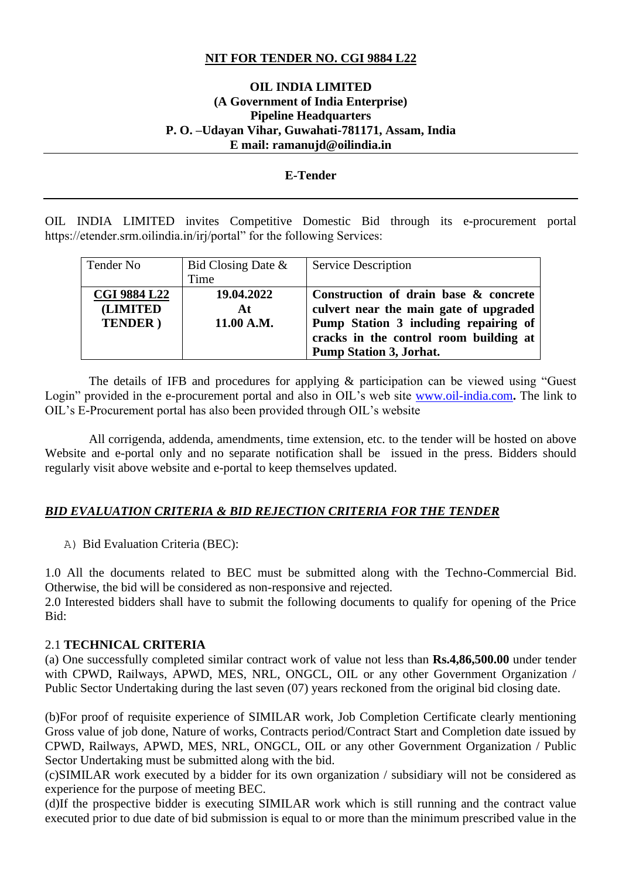# **NIT FOR TENDER NO. CGI 9884 L22**

### **OIL INDIA LIMITED (A Government of India Enterprise) Pipeline Headquarters P. O. –Udayan Vihar, Guwahati-781171, Assam, India E mail: ramanujd@oilindia.in**

#### **E-Tender**

OIL INDIA LIMITED invites Competitive Domestic Bid through its e-procurement portal https://etender.srm.oilindia.in/irj/portal" for the following Services:

| Tender No           | Bid Closing Date $\&$                               | <b>Service Description</b>             |
|---------------------|-----------------------------------------------------|----------------------------------------|
|                     | Time                                                |                                        |
| <b>CGI 9884 L22</b> | 19.04.2022                                          | Construction of drain base & concrete  |
| <b>(LIMITED</b>     | At                                                  | culvert near the main gate of upgraded |
| <b>TENDER</b> )     | Pump Station 3 including repairing of<br>11.00 A.M. |                                        |
|                     |                                                     | cracks in the control room building at |
|                     |                                                     | <b>Pump Station 3, Jorhat.</b>         |

 The details of IFB and procedures for applying & participation can be viewed using "Guest Login" provided in the e-procurement portal and also in OIL's web site [www.oil-india.com](http://www.oil-india.com/). The link to OIL's E-Procurement portal has also been provided through OIL's website

 All corrigenda, addenda, amendments, time extension, etc. to the tender will be hosted on above Website and e-portal only and no separate notification shall be issued in the press. Bidders should regularly visit above website and e-portal to keep themselves updated.

#### *BID EVALUATION CRITERIA & BID REJECTION CRITERIA FOR THE TENDER*

A) Bid Evaluation Criteria (BEC):

1.0 All the documents related to BEC must be submitted along with the Techno-Commercial Bid. Otherwise, the bid will be considered as non-responsive and rejected.

2.0 Interested bidders shall have to submit the following documents to qualify for opening of the Price Bid:

### 2.1 **TECHNICAL CRITERIA**

(a) One successfully completed similar contract work of value not less than **Rs.4,86,500.00** under tender with CPWD, Railways, APWD, MES, NRL, ONGCL, OIL or any other Government Organization / Public Sector Undertaking during the last seven (07) years reckoned from the original bid closing date.

(b)For proof of requisite experience of SIMILAR work, Job Completion Certificate clearly mentioning Gross value of job done, Nature of works, Contracts period/Contract Start and Completion date issued by CPWD, Railways, APWD, MES, NRL, ONGCL, OIL or any other Government Organization / Public Sector Undertaking must be submitted along with the bid.

(c)SIMILAR work executed by a bidder for its own organization / subsidiary will not be considered as experience for the purpose of meeting BEC.

(d)If the prospective bidder is executing SIMILAR work which is still running and the contract value executed prior to due date of bid submission is equal to or more than the minimum prescribed value in the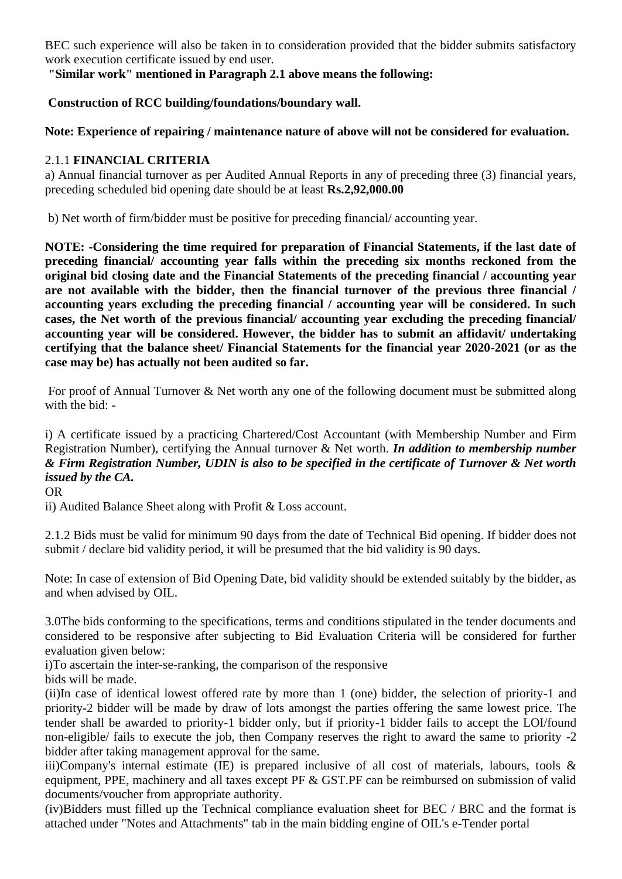BEC such experience will also be taken in to consideration provided that the bidder submits satisfactory work execution certificate issued by end user.

**"Similar work" mentioned in Paragraph 2.1 above means the following:**

# **Construction of RCC building/foundations/boundary wall.**

**Note: Experience of repairing / maintenance nature of above will not be considered for evaluation.**

# 2.1.1 **FINANCIAL CRITERIA**

a) Annual financial turnover as per Audited Annual Reports in any of preceding three (3) financial years, preceding scheduled bid opening date should be at least **Rs.2,92,000.00**

b) Net worth of firm/bidder must be positive for preceding financial/ accounting year.

**NOTE: -Considering the time required for preparation of Financial Statements, if the last date of preceding financial/ accounting year falls within the preceding six months reckoned from the original bid closing date and the Financial Statements of the preceding financial / accounting year are not available with the bidder, then the financial turnover of the previous three financial / accounting years excluding the preceding financial / accounting year will be considered. In such cases, the Net worth of the previous financial/ accounting year excluding the preceding financial/ accounting year will be considered. However, the bidder has to submit an affidavit/ undertaking certifying that the balance sheet/ Financial Statements for the financial year 2020-2021 (or as the case may be) has actually not been audited so far.**

For proof of Annual Turnover & Net worth any one of the following document must be submitted along with the bid: -

# i) A certificate issued by a practicing Chartered/Cost Accountant (with Membership Number and Firm Registration Number), certifying the Annual turnover & Net worth. *In addition to membership number & Firm Registration Number, UDIN is also to be specified in the certificate of Turnover & Net worth issued by the CA.*

## OR

ii) Audited Balance Sheet along with Profit & Loss account.

2.1.2 Bids must be valid for minimum 90 days from the date of Technical Bid opening. If bidder does not submit / declare bid validity period, it will be presumed that the bid validity is 90 days.

Note: In case of extension of Bid Opening Date, bid validity should be extended suitably by the bidder, as and when advised by OIL.

3.0The bids conforming to the specifications, terms and conditions stipulated in the tender documents and considered to be responsive after subjecting to Bid Evaluation Criteria will be considered for further evaluation given below:

i)To ascertain the inter-se-ranking, the comparison of the responsive bids will be made.

(ii)In case of identical lowest offered rate by more than 1 (one) bidder, the selection of priority-1 and priority-2 bidder will be made by draw of lots amongst the parties offering the same lowest price. The tender shall be awarded to priority-1 bidder only, but if priority-1 bidder fails to accept the LOI/found non-eligible/ fails to execute the job, then Company reserves the right to award the same to priority -2 bidder after taking management approval for the same.

iii)Company's internal estimate (IE) is prepared inclusive of all cost of materials, labours, tools & equipment, PPE, machinery and all taxes except PF & GST.PF can be reimbursed on submission of valid documents/voucher from appropriate authority.

(iv)Bidders must filled up the Technical compliance evaluation sheet for BEC / BRC and the format is attached under "Notes and Attachments" tab in the main bidding engine of OIL's e-Tender portal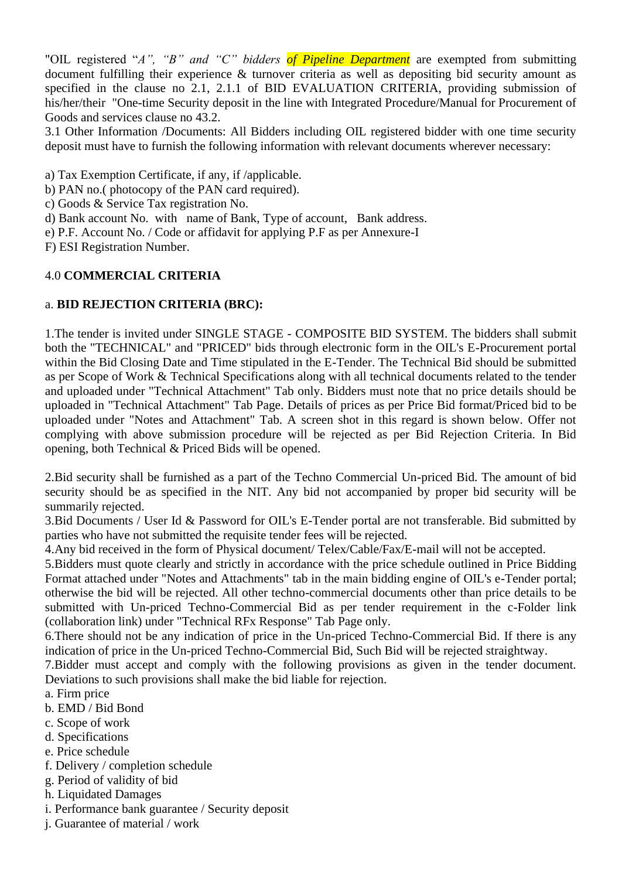"OIL registered "*A*", "*B*" and "C" bidders of Pipeline Department are exempted from submitting document fulfilling their experience & turnover criteria as well as depositing bid security amount as specified in the clause no 2.1, 2.1.1 of BID EVALUATION CRITERIA, providing submission of his/her/their "One-time Security deposit in the line with Integrated Procedure/Manual for Procurement of Goods and services clause no 43.2.

3.1 Other Information /Documents: All Bidders including OIL registered bidder with one time security deposit must have to furnish the following information with relevant documents wherever necessary:

- a) Tax Exemption Certificate, if any, if /applicable.
- b) PAN no.( photocopy of the PAN card required).
- c) Goods & Service Tax registration No.
- d) Bank account No. with name of Bank, Type of account, Bank address.
- e) P.F. Account No. / Code or affidavit for applying P.F as per Annexure-I
- F) ESI Registration Number.

## 4.0 **COMMERCIAL CRITERIA**

### a. **BID REJECTION CRITERIA (BRC):**

1.The tender is invited under SINGLE STAGE - COMPOSITE BID SYSTEM. The bidders shall submit both the "TECHNICAL" and "PRICED" bids through electronic form in the OIL's E-Procurement portal within the Bid Closing Date and Time stipulated in the E-Tender. The Technical Bid should be submitted as per Scope of Work & Technical Specifications along with all technical documents related to the tender and uploaded under "Technical Attachment" Tab only. Bidders must note that no price details should be uploaded in "Technical Attachment" Tab Page. Details of prices as per Price Bid format/Priced bid to be uploaded under "Notes and Attachment" Tab. A screen shot in this regard is shown below. Offer not complying with above submission procedure will be rejected as per Bid Rejection Criteria. In Bid opening, both Technical & Priced Bids will be opened.

2.Bid security shall be furnished as a part of the Techno Commercial Un-priced Bid. The amount of bid security should be as specified in the NIT. Any bid not accompanied by proper bid security will be summarily rejected.

3.Bid Documents / User Id & Password for OIL's E-Tender portal are not transferable. Bid submitted by parties who have not submitted the requisite tender fees will be rejected.

4.Any bid received in the form of Physical document/ Telex/Cable/Fax/E-mail will not be accepted.

5.Bidders must quote clearly and strictly in accordance with the price schedule outlined in Price Bidding Format attached under "Notes and Attachments" tab in the main bidding engine of OIL's e-Tender portal; otherwise the bid will be rejected. All other techno-commercial documents other than price details to be submitted with Un-priced Techno-Commercial Bid as per tender requirement in the c-Folder link (collaboration link) under "Technical RFx Response" Tab Page only.

6.There should not be any indication of price in the Un-priced Techno-Commercial Bid. If there is any indication of price in the Un-priced Techno-Commercial Bid, Such Bid will be rejected straightway.

7.Bidder must accept and comply with the following provisions as given in the tender document. Deviations to such provisions shall make the bid liable for rejection.

- a. Firm price
- b. EMD / Bid Bond
- c. Scope of work
- d. Specifications
- e. Price schedule
- f. Delivery / completion schedule
- g. Period of validity of bid
- h. Liquidated Damages
- i. Performance bank guarantee / Security deposit
- j. Guarantee of material / work